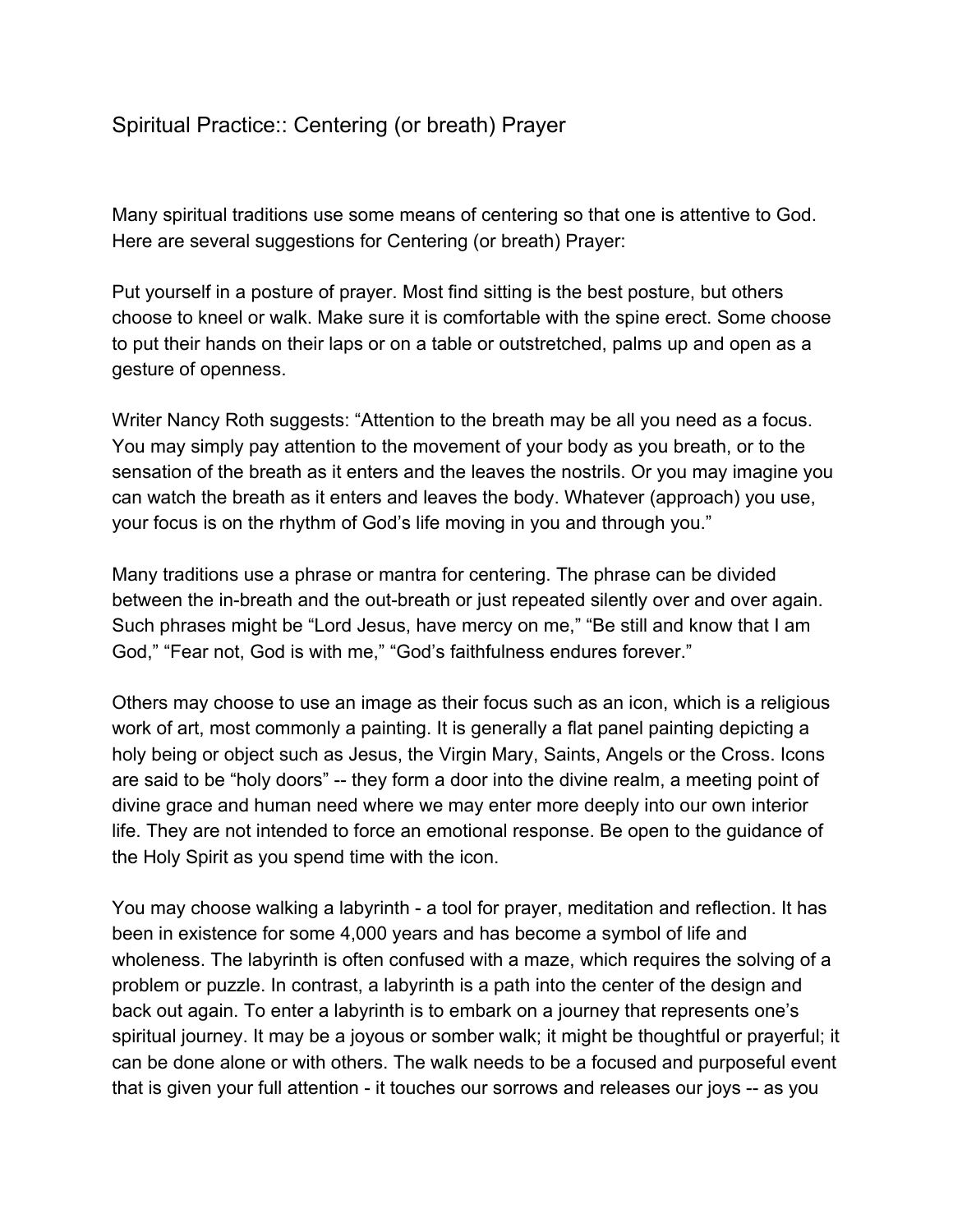## Spiritual Practice:: Centering (or breath) Prayer

Many spiritual traditions use some means of centering so that one is attentive to God. Here are several suggestions for Centering (or breath) Prayer:

Put yourself in a posture of prayer. Most find sitting is the best posture, but others choose to kneel or walk. Make sure it is comfortable with the spine erect. Some choose to put their hands on their laps or on a table or outstretched, palms up and open as a gesture of openness.

Writer Nancy Roth suggests: "Attention to the breath may be all you need as a focus. You may simply pay attention to the movement of your body as you breath, or to the sensation of the breath as it enters and the leaves the nostrils. Or you may imagine you can watch the breath as it enters and leaves the body. Whatever (approach) you use, your focus is on the rhythm of God's life moving in you and through you."

Many traditions use a phrase or mantra for centering. The phrase can be divided between the in-breath and the out-breath or just repeated silently over and over again. Such phrases might be "Lord Jesus, have mercy on me," "Be still and know that I am God," "Fear not, God is with me," "God's faithfulness endures forever."

Others may choose to use an image as their focus such as an icon, which is a religious work of art, most commonly a painting. It is generally a flat panel painting depicting a holy being or object such as Jesus, the Virgin Mary, Saints, Angels or the Cross. Icons are said to be "holy doors" -- they form a door into the divine realm, a meeting point of divine grace and human need where we may enter more deeply into our own interior life. They are not intended to force an emotional response. Be open to the guidance of the Holy Spirit as you spend time with the icon.

You may choose walking a labyrinth - a tool for prayer, meditation and reflection. It has been in existence for some 4,000 years and has become a symbol of life and wholeness. The labyrinth is often confused with a maze, which requires the solving of a problem or puzzle. In contrast, a labyrinth is a path into the center of the design and back out again. To enter a labyrinth is to embark on a journey that represents one's spiritual journey. It may be a joyous or somber walk; it might be thoughtful or prayerful; it can be done alone or with others. The walk needs to be a focused and purposeful event that is given your full attention - it touches our sorrows and releases our joys -- as you